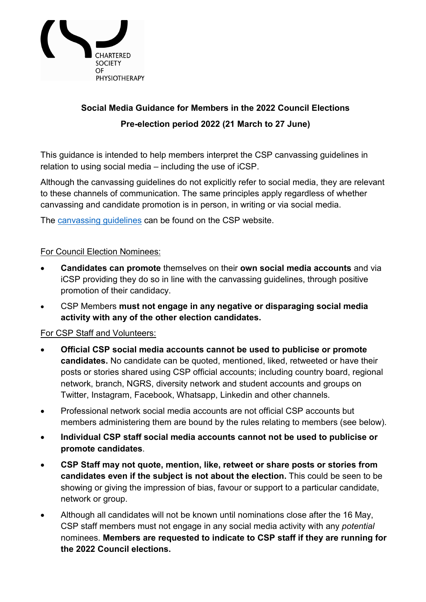

# **Social Media Guidance for Members in the 2022 Council Elections Pre-election period 2022 (21 March to 27 June)**

This guidance is intended to help members interpret the CSP canvassing guidelines in relation to using social media – including the use of iCSP.

Although the [canvassing guidelines](https://www.csp.org.uk/documents/2021-council-elections-canvassing-guidelines) do not explicitly refer to social media, they are relevant to these channels of communication. The same principles apply regardless of whether canvassing and candidate promotion is in person, in writing or via social media.

The [canvassing guidelines](https://www.csp.org.uk/documents/2021-council-elections-canvassing-guidelines) can be found on the CSP website.

## For Council Election Nominees:

- **Candidates can promote** themselves on their **own social media accounts** and via iCSP providing they do so in line with the canvassing guidelines, through positive promotion of their candidacy.
- CSP Members **must not engage in any negative or disparaging social media activity with any of the other election candidates.**

## For CSP Staff and Volunteers:

- **Official CSP social media accounts cannot be used to publicise or promote candidates.** No candidate can be quoted, mentioned, liked, retweeted or have their posts or stories shared using CSP official accounts; including country board, regional network, branch, NGRS, diversity network and student accounts and groups on Twitter, Instagram, Facebook, Whatsapp, Linkedin and other channels.
- Professional network social media accounts are not official CSP accounts but members administering them are bound by the rules relating to members (see below).
- **Individual CSP staff social media accounts cannot not be used to publicise or promote candidates**.
- **CSP Staff may not quote, mention, like, retweet or share posts or stories from candidates even if the subject is not about the election.** This could be seen to be showing or giving the impression of bias, favour or support to a particular candidate, network or group.
- Although all candidates will not be known until nominations close after the 16 May, CSP staff members must not engage in any social media activity with any *potential* nominees. **Members are requested to indicate to CSP staff if they are running for the 2022 Council elections.**